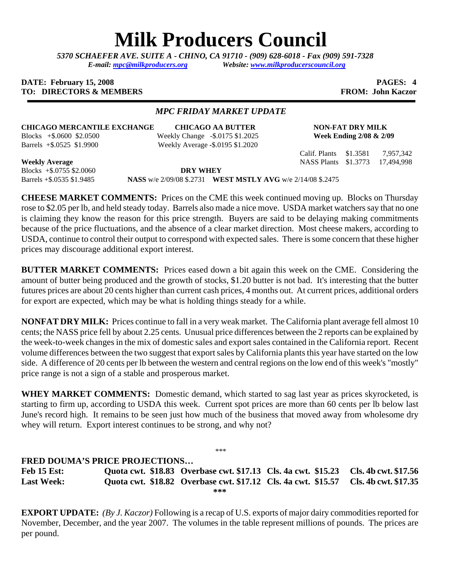# **Milk Producers Council**

*5370 SCHAEFER AVE. SUITE A* **-** *CHINO, CA 91710 - (909) 628-6018 - Fax (909) 591-7328 E-mail: [mpc@milkproducers.org](mailto:mpc@milkproducers.org) Website: [www.milkproducerscouncil.org](http://www.milkproducerscouncil.org/)* 

#### **DATE: February 15, 2008 PAGES: 4 PAGES: 4 TO: DIRECTORS & MEMBERS** FROM: John Kaczor

## *MPC FRIDAY MARKET UPDATE*

# **CHICAGO MERCANTILE EXCHANGE CHICAGO AA BUTTER NON-FAT DRY MILK**

Blocks +\$.0600 \$2.0500 Weekly Change -\$.0175 \$1.2025 **Week Ending 2/08 & 2/09**  Barrels +\$.0525 \$1.9900 Weekly Average **-**\$.0195 \$1.2020

Calif. Plants \$1.3581 7,957,342

**Weekly Average** NASS Plants \$1.3773 17,494,998 Blocks +\$.0755 \$2.0060 **DRY WHEY** 

Barrels +\$.0535 \$1.9485 **NASS** w/e 2/09/08 \$.2731 **WEST MSTLY AVG** w/e 2/14/08 \$.2475

**CHEESE MARKET COMMENTS:** Prices on the CME this week continued moving up. Blocks on Thursday rose to \$2.05 per lb, and held steady today. Barrels also made a nice move. USDA market watchers say that no one is claiming they know the reason for this price strength. Buyers are said to be delaying making commitments because of the price fluctuations, and the absence of a clear market direction. Most cheese makers, according to USDA, continue to control their output to correspond with expected sales. There is some concern that these higher prices may discourage additional export interest.

**BUTTER MARKET COMMENTS:** Prices eased down a bit again this week on the CME. Considering the amount of butter being produced and the growth of stocks, \$1.20 butter is not bad. It's interesting that the butter futures prices are about 20 cents higher than current cash prices, 4 months out. At current prices, additional orders for export are expected, which may be what is holding things steady for a while.

**NONFAT DRY MILK:** Prices continue to fall in a very weak market. The California plant average fell almost 10 cents; the NASS price fell by about 2.25 cents. Unusual price differences between the 2 reports can be explained by the week-to-week changes in the mix of domestic sales and export sales contained in the California report. Recent volume differences between the two suggest that export sales by California plants this year have started on the low side. A difference of 20 cents per lb between the western and central regions on the low end of this week's "mostly" price range is not a sign of a stable and prosperous market.

**WHEY MARKET COMMENTS:** Domestic demand, which started to sag last year as prices skyrocketed, is starting to firm up, according to USDA this week. Current spot prices are more than 60 cents per lb below last June's record high. It remains to be seen just how much of the business that moved away from wholesome dry whey will return. Export interest continues to be strong, and why not?

\*\*\*

## **FRED DOUMA'S PRICE PROJECTIONS…**

**Feb 15 Est: Quota cwt. \$18.83 Overbase cwt. \$17.13 Cls. 4a cwt. \$15.23 Cls. 4b cwt. \$17.56 Last Week: Quota cwt. \$18.82 Overbase cwt. \$17.12 Cls. 4a cwt. \$15.57 Cls. 4b cwt. \$17.35 \*\*\*** 

**EXPORT UPDATE:** *(By J. Kaczor)* Following is a recap of U.S. exports of major dairy commodities reported for November, December, and the year 2007. The volumes in the table represent millions of pounds. The prices are per pound.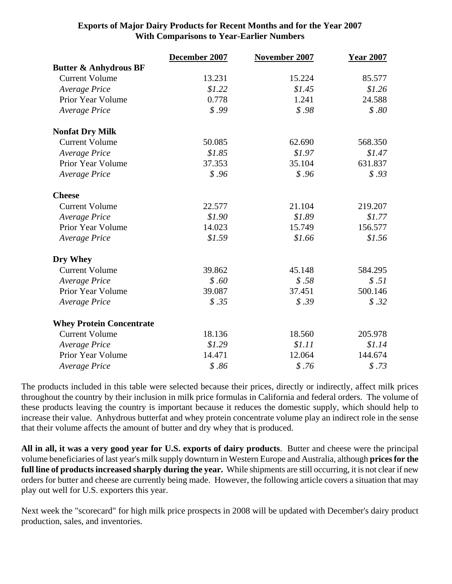|                                  | December 2007 | November 2007 | <b>Year 2007</b> |
|----------------------------------|---------------|---------------|------------------|
| <b>Butter &amp; Anhydrous BF</b> |               |               |                  |
| <b>Current Volume</b>            | 13.231        | 15.224        | 85.577           |
| Average Price                    | \$1.22        | \$1.45        | \$1.26           |
| Prior Year Volume                | 0.778         | 1.241         | 24.588           |
| Average Price                    | \$.99         | \$.98         | \$.80            |
| <b>Nonfat Dry Milk</b>           |               |               |                  |
| <b>Current Volume</b>            | 50.085        | 62.690        | 568.350          |
| Average Price                    | \$1.85        | \$1.97        | \$1.47           |
| Prior Year Volume                | 37.353        | 35.104        | 631.837          |
| Average Price                    | \$.96         | \$.96         | \$.93            |
| <b>Cheese</b>                    |               |               |                  |
| <b>Current Volume</b>            | 22.577        | 21.104        | 219.207          |
| Average Price                    | \$1.90        | \$1.89        | \$1.77           |
| Prior Year Volume                | 14.023        | 15.749        | 156.577          |
| Average Price                    | \$1.59        | \$1.66        | \$1.56           |
| Dry Whey                         |               |               |                  |
| <b>Current Volume</b>            | 39.862        | 45.148        | 584.295          |
| Average Price                    | \$.60         | \$.58         | \$.51            |
| Prior Year Volume                | 39.087        | 37.451        | 500.146          |
| Average Price                    | \$.35         | \$.39         | \$.32            |
| <b>Whey Protein Concentrate</b>  |               |               |                  |
| <b>Current Volume</b>            | 18.136        | 18.560        | 205.978          |
| <b>Average Price</b>             | \$1.29        | \$1.11        | \$1.14           |
| Prior Year Volume                | 14.471        | 12.064        | 144.674          |
| <b>Average Price</b>             | \$.86         | \$.76         | \$.73            |

# **Exports of Major Dairy Products for Recent Months and for the Year 2007 With Comparisons to Year-Earlier Numbers**

The products included in this table were selected because their prices, directly or indirectly, affect milk prices throughout the country by their inclusion in milk price formulas in California and federal orders. The volume of these products leaving the country is important because it reduces the domestic supply, which should help to increase their value. Anhydrous butterfat and whey protein concentrate volume play an indirect role in the sense that their volume affects the amount of butter and dry whey that is produced.

**All in all, it was a very good year for U.S. exports of dairy products**. Butter and cheese were the principal volume beneficiaries of last year's milk supply downturn in Western Europe and Australia, although **prices for the full line of products increased sharply during the year.** While shipments are still occurring, it is not clear if new orders for butter and cheese are currently being made. However, the following article covers a situation that may play out well for U.S. exporters this year.

Next week the "scorecard" for high milk price prospects in 2008 will be updated with December's dairy product production, sales, and inventories.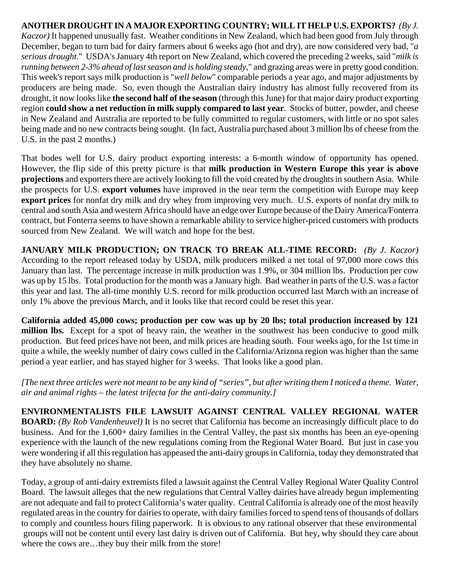**ANOTHER DROUGHT IN A MAJOR EXPORTING COUNTRY; WILL IT HELP U.S. EXPORTS?** *(By J. Kaczor)* It happened unusually fast. Weather conditions in New Zealand, which had been good from July through December, began to turn bad for dairy farmers about 6 weeks ago (hot and dry), are now considered very bad, "*a serious drought*." USDA's January 4th report on New Zealand, which covered the preceding 2 weeks, said "*milk is running between 2-3% ahead of last season and is holding steady*," and grazing areas were in pretty good condition. This week's report says milk production is "*well below*" comparable periods a year ago, and major adjustments by producers are being made. So, even though the Australian dairy industry has almost fully recovered from its drought, it now looks like **the second half of the season** (through this June) for that major dairy product exporting region **could show a net reduction in milk supply compared to last year**. Stocks of butter, powder, and cheese in New Zealand and Australia are reported to be fully committed to regular customers, with little or no spot sales being made and no new contracts being sought. (In fact, Australia purchased about 3 million lbs of cheese from the U.S. in the past 2 months.)

That bodes well for U.S. dairy product exporting interests: a 6-month window of opportunity has opened. However, the flip side of this pretty picture is that **milk production in Western Europe this year is above projections** and exporters there are actively looking to fill the void created by the droughts in southern Asia. While the prospects for U.S. **export volumes** have improved in the near term the competition with Europe may keep **export prices** for nonfat dry milk and dry whey from improving very much. U.S. exports of nonfat dry milk to central and south Asia and western Africa should have an edge over Europe because of the Dairy America/Fonterra contract, but Fonterra seems to have shown a remarkable ability to service higher-priced customers with products sourced from New Zealand. We will watch and hope for the best.

**JANUARY MILK PRODUCTION; ON TRACK TO BREAK ALL-TIME RECORD:** *(By J. Kaczor)*  According to the report released today by USDA, milk producers milked a net total of 97,000 more cows this January than last. The percentage increase in milk production was 1.9%, or 304 million lbs. Production per cow was up by 15 lbs. Total production for the month was a January high. Bad weather in parts of the U.S. was a factor this year and last. The all-time monthly U.S. record for milk production occurred last March with an increase of only 1% above the previous March, and it looks like that record could be reset this year.

**California added 45,000 cows; production per cow was up by 20 lbs; total production increased by 121 million lbs.** Except for a spot of heavy rain, the weather in the southwest has been conducive to good milk production. But feed prices have not been, and milk prices are heading south. Four weeks ago, for the 1st time in quite a while, the weekly number of dairy cows culled in the California/Arizona region was higher than the same period a year earlier, and has stayed higher for 3 weeks. That looks like a good plan.

*[The next three articles were not meant to be any kind of "series", but after writing them I noticed a theme. Water, air and animal rights – the latest trifecta for the anti-dairy community.]*

**ENVIRONMENTALISTS FILE LAWSUIT AGAINST CENTRAL VALLEY REGIONAL WATER BOARD:** *(By Rob Vandenheuvel)* It is no secret that California has become an increasingly difficult place to do business. And for the 1,600+ dairy families in the Central Valley, the past six months has been an eye-opening experience with the launch of the new regulations coming from the Regional Water Board. But just in case you were wondering if all this regulation has appeased the anti-dairy groups in California, today they demonstrated that they have absolutely no shame.

Today, a group of anti-dairy extremists filed a lawsuit against the Central Valley Regional Water Quality Control Board. The lawsuit alleges that the new regulations that Central Valley dairies have already begun implementing are not adequate and fail to protect California's water quality. Central California is already one of the most heavily regulated areas in the country for dairies to operate, with dairy families forced to spend tens of thousands of dollars to comply and countless hours filing paperwork. It is obvious to any rational observer that these environmental groups will not be content until every last dairy is driven out of California. But hey, why should they care about where the cows are…they buy their milk from the store!